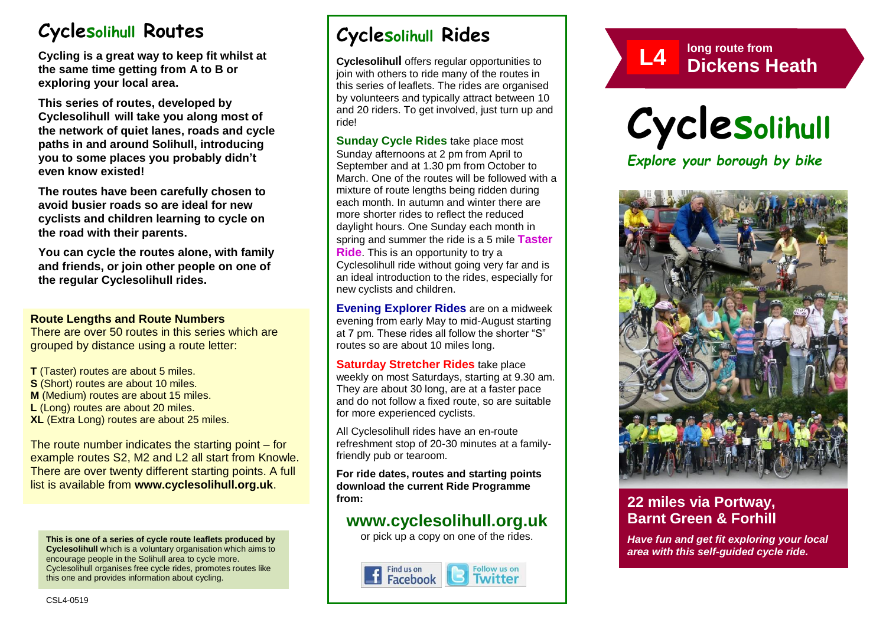# **Cyclesolihull Routes**

**Cycling is a great way to keep fit whilst at the same time getting from A to B or exploring your local area.** 

**This series of routes, developed by Cyclesolihull will take you along most of the network of quiet lanes, roads and cycle paths in and around Solihull, introducing you to some places you probably didn't even know existed!**

**The routes have been carefully chosen to avoid busier roads so are ideal for new cyclists and children learning to cycle on the road with their parents.** 

**You can cycle the routes alone, with family and friends, or join other people on one of the regular Cyclesolihull rides.**

#### **Route Lengths and Route Numbers**

There are over 50 routes in this series which are grouped by distance using a route letter:

**T** (Taster) routes are about 5 miles. **S** (Short) routes are about 10 miles. **M** (Medium) routes are about 15 miles. **L** (Long) routes are about 20 miles. **XL** (Extra Long) routes are about 25 miles.

The route number indicates the starting point – for example routes S2, M2 and L2 all start from Knowle. There are over twenty different starting points. A full list is available from **www.cyclesolihull.org.uk**.

**This is one of a series of cycle route leaflets produced by Cyclesolihull** which is a voluntary organisation which aims to encourage people in the Solihull area to cycle more. Cyclesolihull organises free cycle rides, promotes routes like this one and provides information about cycling.

## **Cyclesolihull Rides**

**Cyclesolihull** offers regular opportunities to join with others to ride many of the routes in this series of leaflets. The rides are organised by volunteers and typically attract between 10 and 20 riders. To get involved, just turn up and ride!

**Sunday Cycle Rides** take place most Sunday afternoons at 2 pm from April to September and at 1.30 pm from October to March. One of the routes will be followed with a mixture of route lengths being ridden during each month. In autumn and winter there are more shorter rides to reflect the reduced daylight hours. One Sunday each month in spring and summer the ride is a 5 mile **Taster Ride**. This is an opportunity to try a Cyclesolihull ride without going very far and is an ideal introduction to the rides, especially for new cyclists and children.

**Evening Explorer Rides** are on a midweek evening from early May to mid-August starting at 7 pm. These rides all follow the shorter "S" routes so are about 10 miles long.

**Saturday Stretcher Rides** take place weekly on most Saturdays, starting at 9.30 am. They are about 30 long, are at a faster pace and do not follow a fixed route, so are suitable for more experienced cyclists.

All Cyclesolihull rides have an en-route refreshment stop of 20-30 minutes at a familyfriendly pub or tearoom.

**For ride dates, routes and starting points download the current Ride Programme from:** 

## **www.cyclesolihull.org.uk**

or pick up a copy on one of the rides.









## **22 miles via Portway, Barnt Green & Forhill**

*Have fun and get fit exploring your local area with this self-guided cycle ride.*